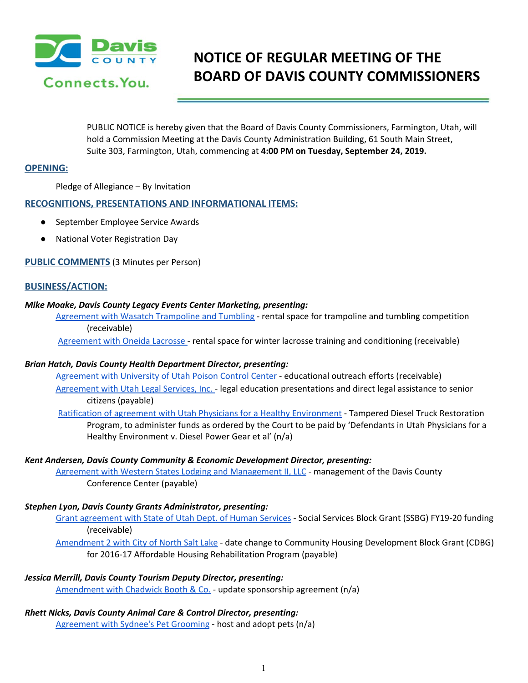

# **NOTICE OF REGULAR MEETING OF THE BOARD OF DAVIS COUNTY COMMISSIONERS**

PUBLIC NOTICE is hereby given that the Board of Davis County Commissioners, Farmington, Utah, will hold a Commission Meeting at the Davis County Administration Building, 61 South Main Street, Suite 303, Farmington, Utah, commencing at **4:00 PM on Tuesday, September 24, 2019.**

## **OPENING:**

Pledge of Allegiance – By Invitation

## **RECOGNITIONS, PRESENTATIONS AND INFORMATIONAL ITEMS:**

- September Employee Service Awards
- National Voter Registration Day

**PUBLIC COMMENTS** (3 Minutes per Person)

## **BUSINESS/ACTION:**

### *Mike Moake, Davis County Legacy Events Center Marketing, presenting:*

Agreement with Wasatch [Trampoline](https://drive.google.com/a/co.davis.ut.us/file/d/1QXa5nFs4_4BQu-Oqoe9TnICaEyk5p5gi/view?usp=drivesdk) and Tumbling - rental space for trampoline and tumbling competition (receivable)

[Agreement](https://drive.google.com/a/co.davis.ut.us/file/d/1I2JCTxr1HriP2mA-sVoeSNnAwDt7J8ak/view?usp=drivesdk) with Oneida Lacrosse - rental space for winter lacrosse training and conditioning (receivable)

### *Brian Hatch, Davis County Health Department Director, presenting:*

[Agreement](https://drive.google.com/a/co.davis.ut.us/file/d/1MRBaZz17_J5hAvNOYcPKYR_pDovfPU0_/view?usp=drivesdk) with University of Utah Poison Control Center - educational outreach efforts (receivable) [Agreement](https://drive.google.com/a/co.davis.ut.us/file/d/1hvS0uLCxCEtv6GAEl9keI_EjInqnyCc4/view?usp=drivesdk) with Utah Legal Services, Inc. - legal education presentations and direct legal assistance to senior citizens (payable)

Ratification of agreement with Utah Physicians for a Healthy [Environment](https://drive.google.com/a/co.davis.ut.us/file/d/1nqzbX3xjv77QZNkoCfbAXTGaIxmmiHKr/view?usp=drivesdk) - Tampered Diesel Truck Restoration Program, to administer funds as ordered by the Court to be paid by 'Defendants in Utah Physicians for a Healthy Environment v. Diesel Power Gear et al' (n/a)

### *Kent Andersen, Davis County Community & Economic Development Director, presenting:*

Agreement with Western States Lodging and [Management](https://drive.google.com/a/co.davis.ut.us/file/d/1cGpok2--x1St0xRvp8c98NCbTe92T4ad/view?usp=drivesdk) II, LLC - management of the Davis County Conference Center (payable)

### *Stephen Lyon, Davis County Grants Administrator, presenting:*

Grant [agreement](https://drive.google.com/a/co.davis.ut.us/file/d/16DFeQcQyLZrmifRaMbZKmTpVPBy-bbXG/view?usp=drivesdk) with State of Utah Dept. of Human Services - Social Services Block Grant (SSBG) FY19-20 fundin[g](https://drive.google.com/a/co.davis.ut.us/file/d/16DFeQcQyLZrmifRaMbZKmTpVPBy-bbXG/view?usp=drivesdk) (receivable)

[Amendment](https://drive.google.com/a/co.davis.ut.us/file/d/1UWMczapsaBk-zWjCIRUYgy_ZozVLmaxv/view?usp=drivesdk) 2 with City of North Salt Lake - date change to Community Housing Development Block Grant (CDBG) for 2016-17 Affordable Housing Rehabilitation Program (payable)

## *Jessica Merrill, Davis County Tourism Deputy Director, presenting:*

[Amendment](https://drive.google.com/a/co.davis.ut.us/file/d/1G3QCwcAGaVQ9QJKHpb5icsVh0iYQwYx4/view?usp=drivesdk) with Chadwick Booth & Co. - update sponsorship agreement (n/a)

### *Rhett Nicks, Davis County Animal Care & Control Director, presenting:*

[Agreement](https://drive.google.com/a/co.davis.ut.us/file/d/1GahJYZUQATJyad763Et0cEB-QNphX0Y9/view?usp=drivesdk) with Sydnee's Pet Grooming - host and adopt pets (n/a)